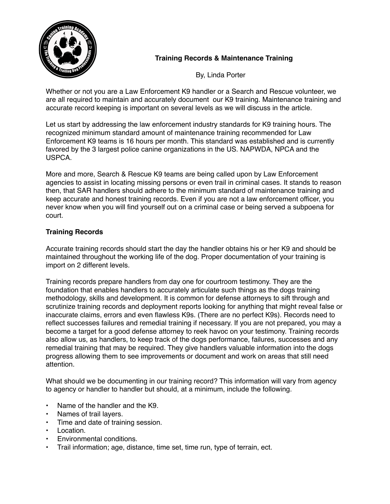

# **Training Records & Maintenance Training**

By, Linda Porter

Whether or not you are a Law Enforcement K9 handler or a Search and Rescue volunteer, we are all required to maintain and accurately document our K9 training. Maintenance training and accurate record keeping is important on several levels as we will discuss in the article.

Let us start by addressing the law enforcement industry standards for K9 training hours. The recognized minimum standard amount of maintenance training recommended for Law Enforcement K9 teams is 16 hours per month. This standard was established and is currently favored by the 3 largest police canine organizations in the US. NAPWDA, NPCA and the USPCA.

More and more, Search & Rescue K9 teams are being called upon by Law Enforcement agencies to assist in locating missing persons or even trail in criminal cases. It stands to reason then, that SAR handlers should adhere to the minimum standard of maintenance training and keep accurate and honest training records. Even if you are not a law enforcement officer, you never know when you will find yourself out on a criminal case or being served a subpoena for court.

## **Training Records**

Accurate training records should start the day the handler obtains his or her K9 and should be maintained throughout the working life of the dog. Proper documentation of your training is import on 2 different levels.

Training records prepare handlers from day one for courtroom testimony. They are the foundation that enables handlers to accurately articulate such things as the dogs training methodology, skills and development. It is common for defense attorneys to sift through and scrutinize training records and deployment reports looking for anything that might reveal false or inaccurate claims, errors and even flawless K9s. (There are no perfect K9s). Records need to reflect successes failures and remedial training if necessary. If you are not prepared, you may a become a target for a good defense attorney to reek havoc on your testimony. Training records also allow us, as handlers, to keep track of the dogs performance, failures, successes and any remedial training that may be required. They give handlers valuable information into the dogs progress allowing them to see improvements or document and work on areas that still need attention.

What should we be documenting in our training record? This information will vary from agency to agency or handler to handler but should, at a minimum, include the following.

- Name of the handler and the K9.
- Names of trail layers.
- Time and date of training session.
- Location.
- Environmental conditions.
- Trail information; age, distance, time set, time run, type of terrain, ect.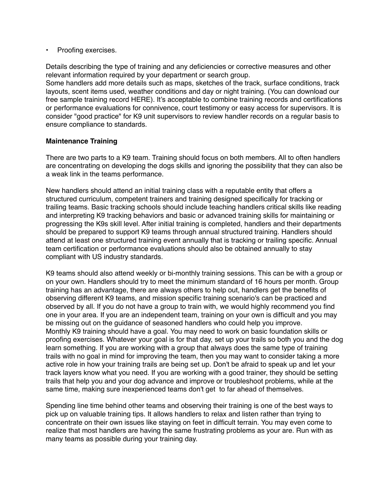• Proofing exercises.

Details describing the type of training and any deficiencies or corrective measures and other relevant information required by your department or search group.

Some handlers add more details such as maps, sketches of the track, surface conditions, track layouts, scent items used, weather conditions and day or night training. (You can download our free sample training record HERE). It's acceptable to combine training records and certifications or performance evaluations for connivence, court testimony or easy access for supervisors. It is consider "good practice" for K9 unit supervisors to review handler records on a regular basis to ensure compliance to standards.

#### **Maintenance Training**

There are two parts to a K9 team. Training should focus on both members. All to often handlers are concentrating on developing the dogs skills and ignoring the possibility that they can also be a weak link in the teams performance.

New handlers should attend an initial training class with a reputable entity that offers a structured curriculum, competent trainers and training designed specifically for tracking or trailing teams. Basic tracking schools should include teaching handlers critical skills like reading and interpreting K9 tracking behaviors and basic or advanced training skills for maintaining or progressing the K9s skill level. After initial training is completed, handlers and their departments should be prepared to support K9 teams through annual structured training. Handlers should attend at least one structured training event annually that is tracking or trailing specific. Annual team certification or performance evaluations should also be obtained annually to stay compliant with US industry standards.

K9 teams should also attend weekly or bi-monthly training sessions. This can be with a group or on your own. Handlers should try to meet the minimum standard of 16 hours per month. Group training has an advantage, there are always others to help out, handlers get the benefits of observing different K9 teams, and mission specific training scenario's can be practiced and observed by all. If you do not have a group to train with, we would highly recommend you find one in your area. If you are an independent team, training on your own is difficult and you may be missing out on the guidance of seasoned handlers who could help you improve. Monthly K9 training should have a goal. You may need to work on basic foundation skills or proofing exercises. Whatever your goal is for that day, set up your trails so both you and the dog learn something. If you are working with a group that always does the same type of training trails with no goal in mind for improving the team, then you may want to consider taking a more active role in how your training trails are being set up. Don't be afraid to speak up and let your track layers know what you need. If you are working with a good trainer, they should be setting trails that help you and your dog advance and improve or troubleshoot problems, while at the same time, making sure inexperienced teams don't get to far ahead of themselves.

Spending line time behind other teams and observing their training is one of the best ways to pick up on valuable training tips. It allows handlers to relax and listen rather than trying to concentrate on their own issues like staying on feet in difficult terrain. You may even come to realize that most handlers are having the same frustrating problems as your are. Run with as many teams as possible during your training day.